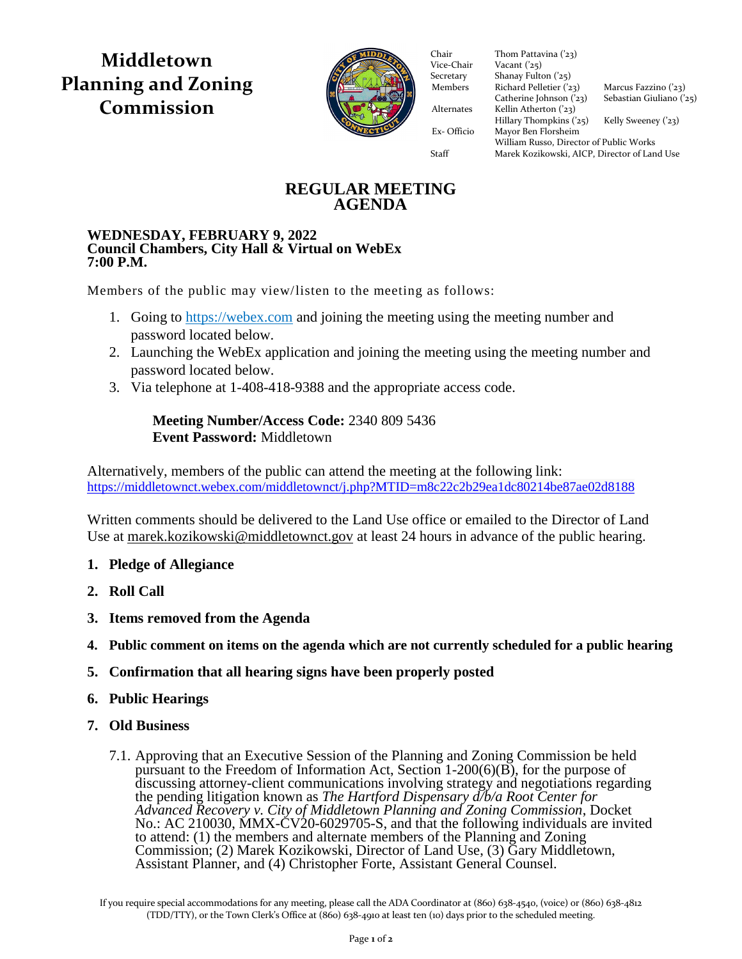**Middletown Planning and Zoning Commission**



Vice-Chair Vacant  $(25)$ Secretary Shanay Fulton ('25) Members Richard Pelletier  $(23)$  Marcus Fazzino  $(23)$ Catherine Johnson  $(23)$  Sebastian Giuliano  $(25)$ Alternates Kellin Atherton ('23)  $Hillary Thompson (25)$  Kelly Sweeney ('23) Ex- Officio Mayor Ben Florsheim Ex- Officio Mayor Ben Florsheim Chair Thom Pattavina ('23)<br>Vice-Chair Vacant ('25) William Russo, Director of Public Works Staff Marek Kozikowski, AICP, Director of Land Use

# **REGULAR MEETING AGENDA**

#### **WEDNESDAY, FEBRUARY 9, 2022 Council Chambers, City Hall & Virtual on WebEx 7:00 P.M.**

Members of the public may view/listen to the meeting as follows:

- 1. Going to [https://webex.com](https://webex.com/) and joining the meeting using the meeting number and password located below.
- 2. Launching the WebEx application and joining the meeting using the meeting number and password located below.
- 3. Via telephone at 1-408-418-9388 and the appropriate access code.

## **Meeting Number/Access Code:** 2340 809 5436 **Event Password:** Middletown

Alternatively, members of the public can attend the meeting at the following link: <https://middletownct.webex.com/middletownct/j.php?MTID=m8c22c2b29ea1dc80214be87ae02d8188>

Written comments should be delivered to the Land Use office or emailed to the Director of Land Use at [marek.kozikowski@middletownct.gov](mailto:marek.kozikowski@middletownct.gov) at least 24 hours in advance of the public hearing.

- **1. Pledge of Allegiance**
- **2. Roll Call**
- **3. Items removed from the Agenda**
- **4. Public comment on items on the agenda which are not currently scheduled for a public hearing**
- **5. Confirmation that all hearing signs have been properly posted**
- **6. Public Hearings**
- **7. Old Business**
	- 7.1. Approving that an Executive Session of the Planning and Zoning Commission be held pursuant to the Freedom of Information Act, Section 1-200(6)(B), for the purpose of discussing attorney-client communications involving strategy and negotiations regarding the pending litigation known as *The Hartford Dispensary d/b/a Root Center for Advanced Recovery v. City of Middletown Planning and Zoning Commission*, Docket No.: AC 210030, MMX-CV20-6029705-S, and that the following individuals are invited to attend: (1) the members and alternate members of the Planning and Zoning Commission; (2) Marek Kozikowski, Director of Land Use, (3) Gary Middletown, Assistant Planner, and (4) Christopher Forte, Assistant General Counsel.

If you require special accommodations for any meeting, please call the ADA Coordinator at (860) 638-4540, (voice) or (860) 638-4812 (TDD/TTY), or the Town Clerk's Office at (860) 638-4910 at least ten (10) days prior to the scheduled meeting.